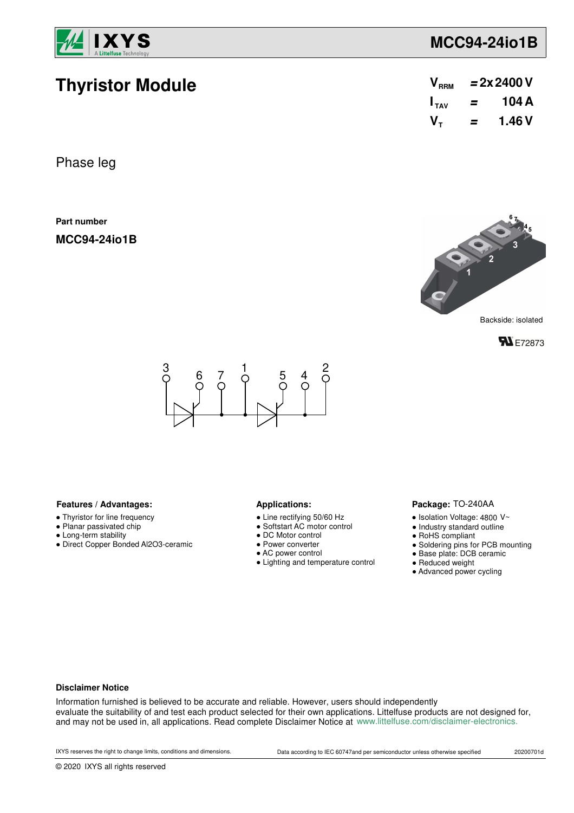

**Thyristor Module**

## **MCC94-24io1B**

| V <sub>RRM</sub> | $= 2x 2400 V$ |        |  |  |
|------------------|---------------|--------|--|--|
| $I_{\text{tau}}$ | =             | 104 A  |  |  |
| $V_{\tau}$       | =             | 1.46 V |  |  |

Phase leg

**Part number**

**MCC94-24io1B**







#### Features / Advantages: **All Applications: Applications:**

- Thyristor for line frequency
- Planar passivated chip
- Long-term stability
- Direct Copper Bonded Al2O3-ceramic

- Line rectifying 50/60 Hz
- Softstart AC motor control
- DC Motor control
- Power converter
- AC power control
- Lighting and temperature control

#### Package: TO-240AA

- $\bullet$  Isolation Voltage: 4800 V~
- Industry standard outline
- RoHS compliant
- Soldering pins for PCB mounting
- Base plate: DCB ceramic
- Reduced weight
- Advanced power cycling

#### **Disclaimer Notice**

Information furnished is believed to be accurate and reliable. However, users should independently evaluate the suitability of and test each product selected for their own applications. Littelfuse products are not designed for, and may not be used in, all applications. Read complete Disclaimer Notice at www.littelfuse.com/disclaimer-electronics.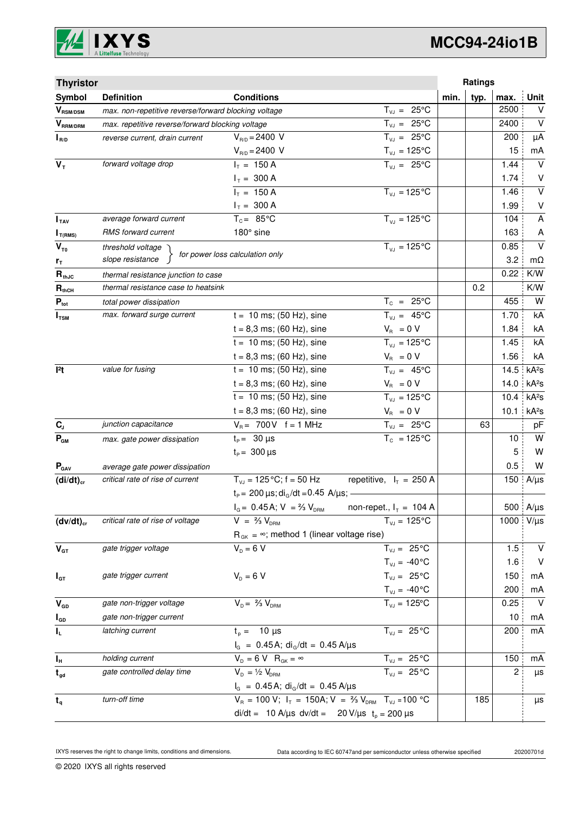

# **MCC94-24io1B**

| <b>Thyristor</b>                      |                                                                                |                                                                                   |                                | Ratings      |      |                         |
|---------------------------------------|--------------------------------------------------------------------------------|-----------------------------------------------------------------------------------|--------------------------------|--------------|------|-------------------------|
| Symbol                                | <b>Definition</b>                                                              | <b>Conditions</b>                                                                 |                                | typ.<br>min. | max. | <b>Unit</b>             |
| $\bm{V}_{\text{RSM/DSM}}$             | $T_{VJ} = 25^{\circ}C$<br>max. non-repetitive reverse/forward blocking voltage |                                                                                   |                                |              | 2500 | $\vee$                  |
| $V_{\scriptscriptstyle{\sf RRM/DRM}}$ | $T_{VJ} = 25^{\circ}C$<br>max. repetitive reverse/forward blocking voltage     |                                                                                   |                                |              | 2400 | $\vee$                  |
| $I_{R/D}$                             | reverse current, drain current                                                 | $V_{B/D} = 2400 V$                                                                | $T_{V,I} = 25^{\circ}C$        |              | 200  | μA                      |
|                                       |                                                                                | $V_{R/D} = 2400 V$                                                                | $T_{\nu J} = 125$ °C           |              | 15   | mA                      |
| $V_T$                                 | forward voltage drop                                                           | $I_T = 150 A$                                                                     | $T_{V,1} = 25^{\circ}C$        |              | 1.44 | $\vee$                  |
|                                       |                                                                                | $I_T = 300 A$                                                                     |                                |              | 1.74 | V                       |
|                                       |                                                                                | $I_T = 150 A$                                                                     | $T_{VJ} = 125$ °C              |              | 1.46 | $\overline{\mathsf{v}}$ |
|                                       |                                                                                | $I_T = 300 A$                                                                     |                                |              | 1.99 | $\sf V$                 |
| I <sub>TAV</sub>                      | average forward current                                                        | $T_c = 85^{\circ}$ C                                                              | $T_{V1} = 125^{\circ}C$        |              | 104  | A                       |
| $I_{T(RMS)}$                          | RMS forward current                                                            | 180° sine                                                                         |                                |              | 163  | A                       |
| $V_{\tau_0}$                          | threshold voltage                                                              | for power loss calculation only                                                   | $T_{V,1} = 125^{\circ}C$       |              | 0.85 | $\vee$                  |
| $r_{\tau}$                            | slope resistance                                                               |                                                                                   |                                |              | 3.2  | mΩ                      |
| $R_{thJC}$                            | thermal resistance junction to case                                            |                                                                                   |                                |              | 0.22 | K/W                     |
| $R_{thCH}$                            | thermal resistance case to heatsink                                            |                                                                                   |                                | 0.2          |      | K/W                     |
| $P_{\text{tot}}$                      | total power dissipation                                                        |                                                                                   | $T_c = 25^{\circ}C$            |              | 455  | W                       |
| $I_{\text{TSM}}$                      | max. forward surge current                                                     | $t = 10$ ms; (50 Hz), sine                                                        | $T_{VJ} = 45^{\circ}C$         |              | 1.70 | kA                      |
|                                       |                                                                                | $t = 8,3$ ms; (60 Hz), sine                                                       | $V_R = 0 V$                    |              | 1.84 | kA                      |
|                                       |                                                                                | $t = 10$ ms; (50 Hz), sine                                                        | $T_{VJ} = 125^{\circ}C$        |              | 1.45 | kA                      |
|                                       |                                                                                | $t = 8,3$ ms; (60 Hz), sine                                                       | $V_{\rm R} = 0 V$              |              | 1.56 | kA                      |
| 12t                                   | value for fusing                                                               | $t = 10$ ms; (50 Hz), sine                                                        | $T_{VJ} = 45^{\circ}C$         |              | 14.5 | kA <sup>2</sup> S       |
|                                       |                                                                                | $t = 8,3$ ms; (60 Hz), sine                                                       | $V_{\rm R} = 0 V$              |              | 14.0 | kA <sup>2</sup> s       |
|                                       |                                                                                | $t = 10$ ms; (50 Hz), sine                                                        | $T_{VJ} = 125$ °C              |              | 10.4 | kA <sup>2</sup> s       |
|                                       |                                                                                | $t = 8.3$ ms; (60 Hz), sine                                                       | $V_{\rm R} = 0 V$              |              | 10.1 | kA <sup>2</sup> S       |
| $\mathbf{C}_\mathrm{J}$               | junction capacitance                                                           | $V_B = 700V$ f = 1 MHz                                                            | $T_{VJ} = 25^{\circ}C$         |              | 63   | pF                      |
| $P_{GM}$                              | max. gate power dissipation                                                    | $t_{p} = 30 \,\mu s$                                                              | $T_c = 125^{\circ}C$           |              | 10   | W                       |
|                                       |                                                                                | $t_{\rm p} = 300 \,\mu s$                                                         |                                |              | 5    | W                       |
| $P_{\text{GAV}}$                      | average gate power dissipation                                                 |                                                                                   |                                |              | 0.5  | W                       |
| $(di/dt)_{cr}$                        | critical rate of rise of current                                               | $T_{VJ}$ = 125 °C; f = 50 Hz                                                      | repetitive, $I_T = 250$ A      |              | 150  | $A/\mu s$               |
|                                       |                                                                                | $t_P$ = 200 $\mu$ s; di <sub>o</sub> /dt = 0.45 A/ $\mu$ s; -                     |                                |              |      |                         |
|                                       |                                                                                | $I_G = 0.45$ A; $V = \frac{2}{3} V_{DRM}$                                         | non-repet., $I_T = 104$ A      |              |      | 500 A/µs                |
| $(dv/dt)_{cr}$                        | critical rate of rise of voltage                                               | $V = \frac{2}{3} V_{DBM}$                                                         | $T_{VJ} = 125^{\circ}C$        |              | 1000 | $V/\mu s$               |
|                                       |                                                                                | $R_{gK} = \infty$ ; method 1 (linear voltage rise)                                |                                |              |      |                         |
| $V_{GT}$                              | gate trigger voltage                                                           | $V_{D} = 6 V$                                                                     | $T_{VJ} = 25^{\circ}C$         |              | 1.5  | $\vee$                  |
|                                       |                                                                                |                                                                                   | $T_{VJ} = -40\degree C$        |              | 1.6  | $\vee$                  |
| $I_{GT}$                              | gate trigger current                                                           | $V_{D} = 6 V$                                                                     | $T_{VJ} = 25^{\circ}C$         |              | 150  | mA                      |
|                                       |                                                                                |                                                                                   | $T_{\text{VJ}} = -40^{\circ}C$ |              | 200  | mA                      |
| $V_{GD}$                              | gate non-trigger voltage                                                       | $V_{D} = \frac{2}{3} V_{DBM}$                                                     | $T_{VJ} = 125$ °C              |              | 0.25 | $\vee$                  |
| $I_{GD}$                              | gate non-trigger current                                                       |                                                                                   |                                |              | 10   | mA                      |
| $I_L$                                 | latching current                                                               | $t_{p} = 10 \mu s$                                                                | $T_{VJ} = 25^{\circ}C$         |              | 200  | mA                      |
|                                       |                                                                                | $I_G = 0.45 A$ ; di <sub>G</sub> /dt = 0.45 A/µs                                  |                                |              |      |                         |
| $I_{\rm H}$                           | holding current                                                                | $V_{D} = 6 V R_{GK} = \infty$                                                     | $T_{VJ} = 25^{\circ}C$         |              | 150  | mA                      |
| $t_{gd}$                              | gate controlled delay time                                                     | $V_{D} = \frac{1}{2} V_{DRM}$                                                     | $T_{VJ} = 25 °C$               |              | 2    | μs                      |
|                                       |                                                                                | $I_G = 0.45 A$ ; di <sub>G</sub> /dt = 0.45 A/µs                                  |                                |              |      |                         |
| $t_{q}$                               | turn-off time                                                                  | $V_R = 100 V$ ; $I_T = 150A$ ; $V = \frac{2}{3} V_{DRM}$ T <sub>VJ</sub> = 100 °C |                                | 185          |      | μs                      |
|                                       |                                                                                | di/dt = 10 A/µs dv/dt = 20 V/µs $t_p = 200 \mu s$                                 |                                |              |      |                         |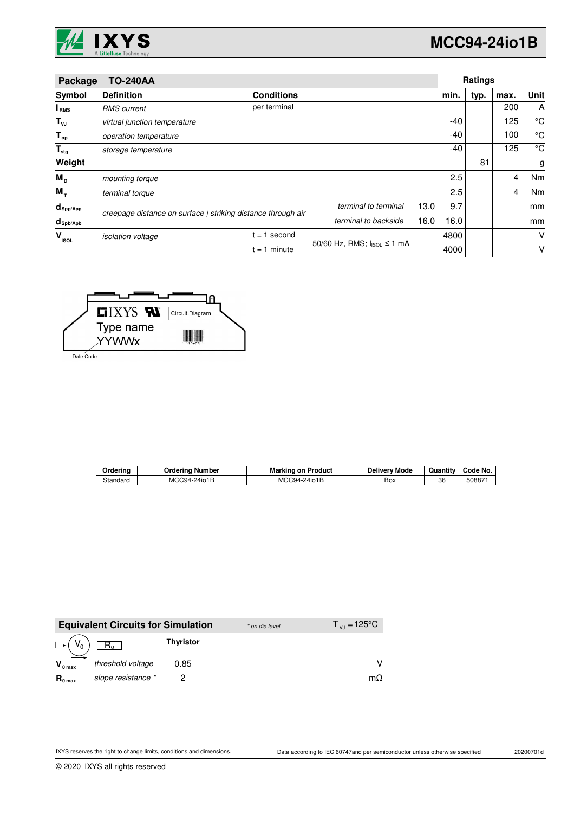

| Package                   | <b>TO-240AA</b>              |                                                              |                      |      | Ratings |      |                |                 |
|---------------------------|------------------------------|--------------------------------------------------------------|----------------------|------|---------|------|----------------|-----------------|
| Symbol                    | <b>Definition</b>            | <b>Conditions</b>                                            |                      |      | min.    | typ. | max.           | Unit            |
| <b>I</b> <sub>RMS</sub>   | <b>RMS</b> current           | per terminal                                                 |                      |      |         |      | 200            | A               |
| $T_{\nu J}$               | virtual junction temperature |                                                              |                      |      | -40     |      | 125            | $\rm ^{\circ}C$ |
| $T_{op}$                  | operation temperature        |                                                              |                      |      | -40     |      | 100            | $^{\circ}C$     |
| $\mathsf{T}_{\text{stg}}$ | storage temperature          |                                                              |                      |      | -40     |      | 125            | °C              |
| Weight                    |                              |                                                              |                      |      |         | 81   |                | g               |
| $M_{\rm p}$               | mounting torque              |                                                              |                      |      | 2.5     |      | 4              | Nm              |
| $M_{\tau}$                | terminal torque              |                                                              |                      |      | 2.5     |      | $\overline{4}$ | Nm              |
| $d_{\mathsf{Spp/App}}$    |                              | creepage distance on surface   striking distance through air | terminal to terminal | 13.0 | 9.7     |      |                | mm              |
| $d_{\text{Spb/Apb}}$      |                              |                                                              | terminal to backside | 16.0 | 16.0    |      |                | mm              |
| v<br><b>ISOL</b>          | <i>isolation</i> voltage     | second<br>$= 1$                                              |                      |      | 4800    |      |                | v               |
|                           |                              | 50/60 Hz, RMS; IIsoL ≤ 1 mA<br>$= 1$ minute                  |                      |      | 4000    |      |                | ۷               |



Date Code

| Orderino | Jrderina<br>ı Number | Marking<br>⊧on Product | Mode<br>Deliverv | Quantitv | Code No. |
|----------|----------------------|------------------------|------------------|----------|----------|
| Standard | MCC94-24io1B         | MCC94-24io1B           | Вох              | 36       | 508871   |

|                     | <b>Equivalent Circuits for Simulation</b> |                  | * on die level | $T_{V1} = 125^{\circ}C$ |
|---------------------|-------------------------------------------|------------------|----------------|-------------------------|
|                     | $I \rightarrow (V_0) \boxed{R_0}$         | <b>Thyristor</b> |                |                         |
| $V_{0 \text{ max}}$ | threshold voltage                         | 0.85             |                |                         |
| $R_{0 \text{ max}}$ | slope resistance *                        |                  |                | $m\Omega$               |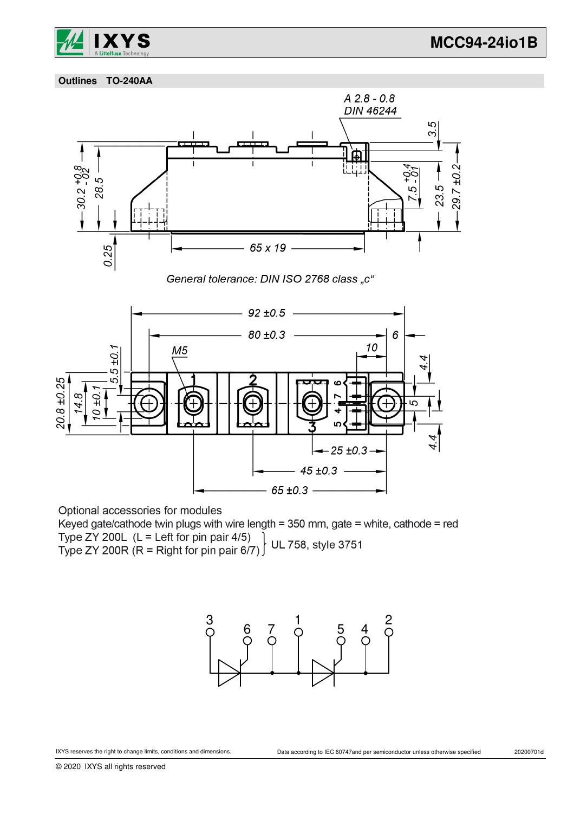

 **Outlines TO-240AA**



Optional accessories for modules

Keyed gate/cathode twin plugs with wire length = 350 mm, gate = white, cathode = red Type ZY 200L (L = Left for pin pair 4/5)<br>Type ZY 200R (R = Right for pin pair 6/7) UL 758, style 3751